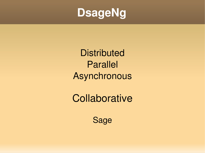

**Distributed** Parallel Asynchronous

**Collaborative** 

Sage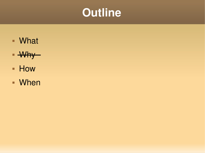

- What
- $-Why$
- **How**
- When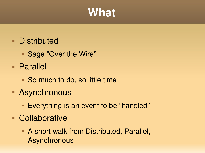# **What**

#### **Distributed**

- Sage "Over the Wire"
- Parallel
	- So much to do, so little time
- Asynchronous
	- **Everything is an event to be "handled"**
- **Collaborative** 
	- A short walk from Distributed, Parallel, **Asynchronous**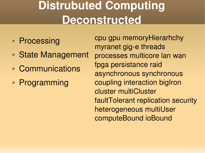# **Distrubuted Computing Deconstructed**

- **Processing**
- State Management
- Communications
- **Programming**

cpu gpu memoryHierarhchy myranet gig-e threads processes multicore lan wan fpga persistance raid asynchronous synchronous coupling interaction bigIron cluster multiCluster faultTolerant replication security heterogeneous multiUser computeBound ioBound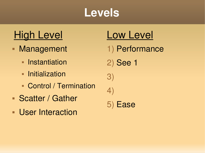

#### High Level Low Level

- Management
	- **Instantiation**
	- **Initialization**
	- **Control / Termination**
- **Scatter / Gather**
- **User Interaction**

- 1) Performance
- 2) See 1

3) 4)

5) Ease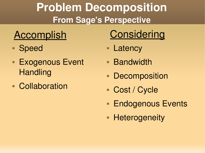## **Problem Decomposition From Sage's Perspective**

- Speed
- **Exogenous Event Handling**
- **Collaboration**

# Accomplish Considering

- **Latency**
- **Bandwidth**
- **Decomposition**
- Cost / Cycle
- **Endogenous Events**
- **Heterogeneity**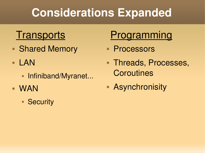# **Considerations Expanded**

- **Shared Memory**
- **LAN** 
	- **Infiniband/Myranet...**
- WAN
	- **Security**

# Transports Programming

- **Processors**
- **Threads, Processes, Coroutines**
- Asynchronisity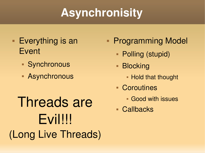# **Asynchronisity**

- **Everything is an** Event
	- Synchronous
	- Asynchronous
- Threads are **Callbacks** Evil!!! (Long Live Threads)
- **Programming Model** 
	- Polling (stupid)
	- **Blocking** 
		- **Hold that thought**
	- Coroutines
		- Good with issues
	-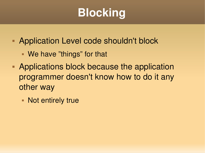# **Blocking**

- **Application Level code shouldn't block** 
	- We have "things" for that
- **Applications block because the application** programmer doesn't know how to do it any other way
	- **Not entirely true**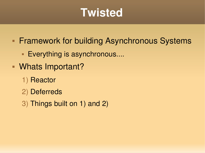# **Twisted**

**Framework for building Asynchronous Systems** 

- **Everything is asynchronous....**
- Whats Important?
	- 1) Reactor
	- 2) Deferreds
	- 3) Things built on 1) and 2)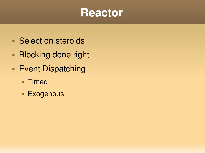

- **Select on steroids**
- **Blocking done right**
- **Event Dispatching** 
	- **Timed**
	- **Exogenous**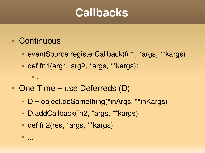### **Callbacks**

#### Continuous

- eventSource.registerCallback(fn1, \*args, \*\*kargs)
- def fn1(arg1, arg2, \*args, \*\*kargs):

...

...

- One Time use Deferreds (D)
	- D = object.doSomething(\*inArgs, \*\*inKargs)
	- D.addCallback(fn2, \*args, \*\*kargs)
	- def fn2(res, \*args, \*\*kargs)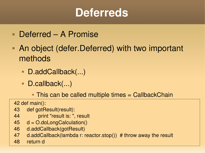# **Deferreds**

- Deferred A Promise
- An object (defer.Deferred) with two important methods
	- D.addCallback(...)
	- D.callback(...)
		- This can be called multiple times = CallbackChain

42 def main():

- 43 def gotResult(result):
- 44 print "result is: ", result
- 45 d = O.doLongCalculation()
- 46 d.addCallback(gotResult)
- 47 d.addCallback(lambda r: reactor.stop())  $#$  throw away the result
- 48 return d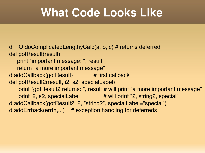# **What Code Looks Like**

```
d = O.doComplicatedLengthyCalc(a, b, c)# returns deferred
def gotResult(result)
        print "important message: ", result
        return "a more important message"
d.addCallback(gotResult)             # first callback
def gotResult2(result, i2, s2, specialLabel)
          print "gotResult2 returns: ", result # will print "a more important message"
   print i2, s2, specialLabel # will print "2, string2, special"
d.addCallback(gotResult2, 2, "string2", specialLabel="special")
d.addErrback(errfn,...)    # exception handling for deferreds
```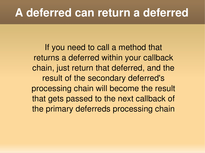### **A deferred can return a deferred**

If you need to call a method that returns a deferred within your callback chain, just return that deferred, and the result of the secondary deferred's processing chain will become the result that gets passed to the next callback of the primary deferreds processing chain